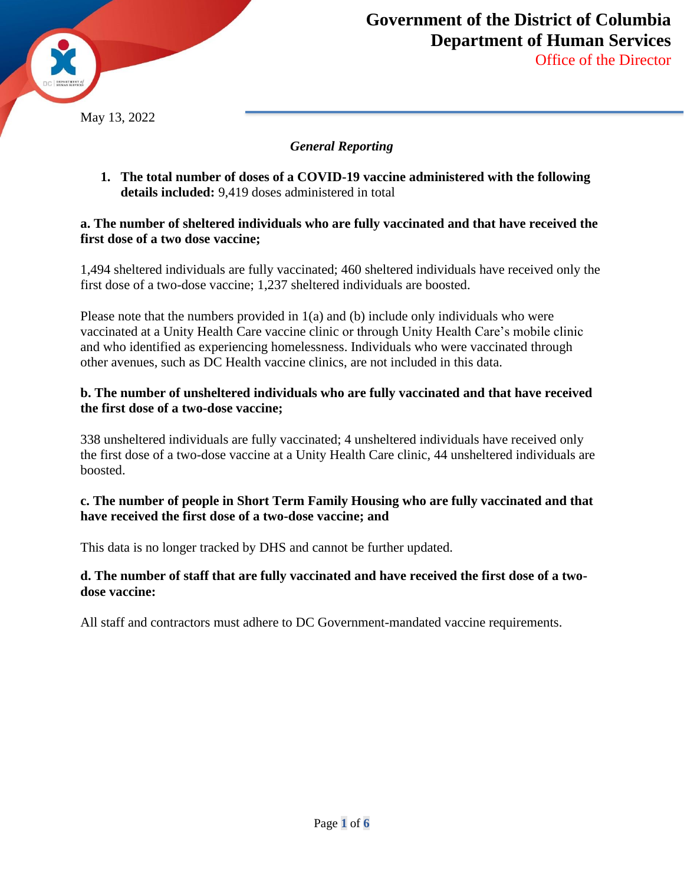

### *General Reporting*

**1. The total number of doses of a COVID-19 vaccine administered with the following details included:** 9,419 doses administered in total

#### **a. The number of sheltered individuals who are fully vaccinated and that have received the first dose of a two dose vaccine;**

1,494 sheltered individuals are fully vaccinated; 460 sheltered individuals have received only the first dose of a two-dose vaccine; 1,237 sheltered individuals are boosted.

Please note that the numbers provided in 1(a) and (b) include only individuals who were vaccinated at a Unity Health Care vaccine clinic or through Unity Health Care's mobile clinic and who identified as experiencing homelessness. Individuals who were vaccinated through other avenues, such as DC Health vaccine clinics, are not included in this data.

### **b. The number of unsheltered individuals who are fully vaccinated and that have received the first dose of a two-dose vaccine;**

338 unsheltered individuals are fully vaccinated; 4 unsheltered individuals have received only the first dose of a two-dose vaccine at a Unity Health Care clinic, 44 unsheltered individuals are boosted.

## **c. The number of people in Short Term Family Housing who are fully vaccinated and that have received the first dose of a two-dose vaccine; and**

This data is no longer tracked by DHS and cannot be further updated.

#### **d. The number of staff that are fully vaccinated and have received the first dose of a twodose vaccine:**

All staff and contractors must adhere to DC Government-mandated vaccine requirements.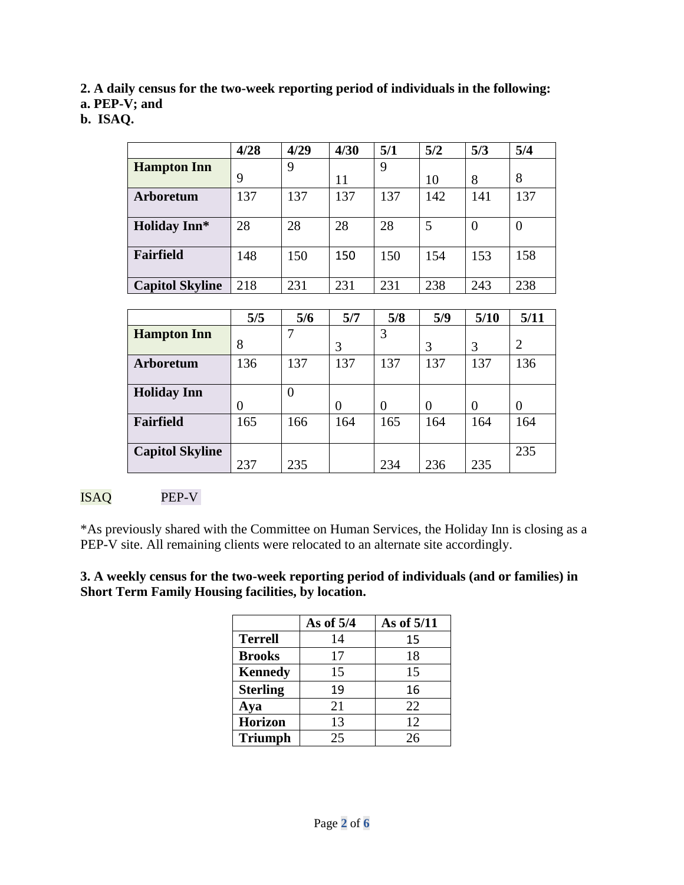**2. A daily census for the two-week reporting period of individuals in the following:** 

**a. PEP-V; and** 

**b. ISAQ.** 

|                        | 4/28 | 4/29 | 4/30 | 5/1 | 5/2 | 5/3      | 5/4      |
|------------------------|------|------|------|-----|-----|----------|----------|
| <b>Hampton Inn</b>     |      | 9    |      | 9   |     |          |          |
|                        | 9    |      | 11   |     | 10  | 8        | 8        |
| <b>Arboretum</b>       | 137  | 137  | 137  | 137 | 142 | 141      | 137      |
|                        |      |      |      |     |     |          |          |
| <b>Holiday Inn*</b>    | 28   | 28   | 28   | 28  | 5   | $\Omega$ | $\theta$ |
|                        |      |      |      |     |     |          |          |
| Fairfield              | 148  | 150  | 150  | 150 | 154 | 153      | 158      |
|                        |      |      |      |     |     |          |          |
| <b>Capitol Skyline</b> | 218  | 231  | 231  | 231 | 238 | 243      | 238      |

|                        | 5/5      | 5/6      | 5/7 | 5/8 | 5/9 | 5/10     | 5/11           |
|------------------------|----------|----------|-----|-----|-----|----------|----------------|
| <b>Hampton Inn</b>     | 8        |          |     | 3   |     |          | $\overline{2}$ |
|                        |          |          | 3   |     | 3   | 3        |                |
| Arboretum              | 136      | 137      | 137 | 137 | 137 | 137      | 136            |
| <b>Holiday Inn</b>     |          | $\theta$ |     |     |     |          |                |
|                        | $\theta$ |          | 0   | 0   | 0   | $\theta$ | $\Omega$       |
| <b>Fairfield</b>       | 165      | 166      | 164 | 165 | 164 | 164      | 164            |
| <b>Capitol Skyline</b> | 237      | 235      |     | 234 | 236 | 235      | 235            |

# ISAQ PEP-V

\*As previously shared with the Committee on Human Services, the Holiday Inn is closing as a PEP-V site. All remaining clients were relocated to an alternate site accordingly.

#### **3. A weekly census for the two-week reporting period of individuals (and or families) in Short Term Family Housing facilities, by location.**

|                 | As of 5/4 | As of 5/11 |
|-----------------|-----------|------------|
| <b>Terrell</b>  | 14        | 15         |
| <b>Brooks</b>   | 17        | 18         |
| <b>Kennedy</b>  | 15        | 15         |
| <b>Sterling</b> | 19        | 16         |
| Aya             | 21        | 22         |
| <b>Horizon</b>  | 13        | 12         |
| <b>Triumph</b>  | 25        | 26         |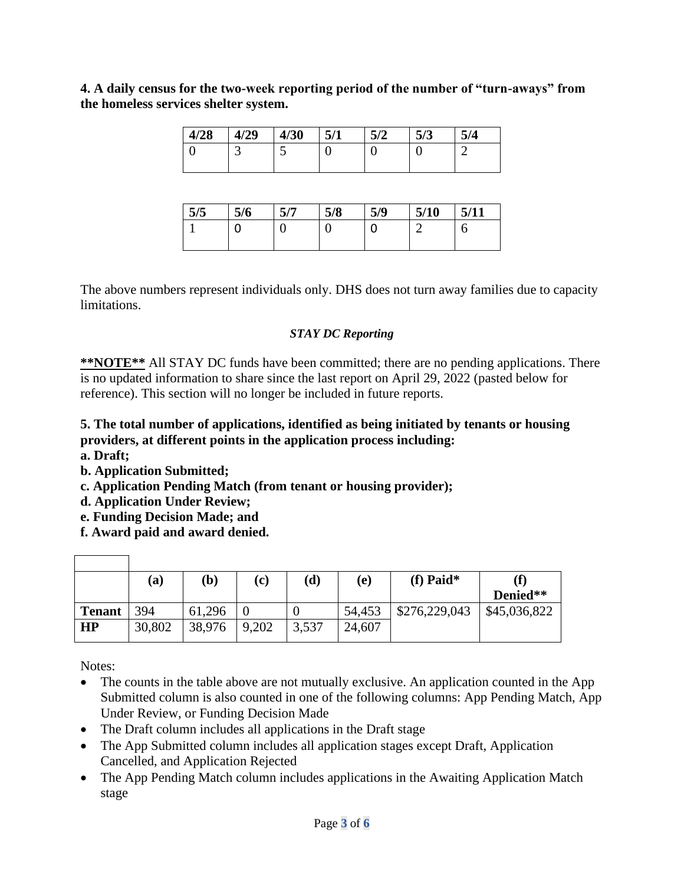**4. A daily census for the two-week reporting period of the number of "turn-aways" from the homeless services shelter system.** 

| 4/28 | 4/29 | 4/30 | E 11 | E IA | E/2<br>J/J | 5/4<br>. ان |
|------|------|------|------|------|------------|-------------|
| ບ    | ت    | ັ    | ◡    |      | u          | ╭           |

| 5/5 | 5/6 | 5 I 7<br>$J_{\ell}$ | 5/8 | 5/9 | 5/10 | 5/11 |
|-----|-----|---------------------|-----|-----|------|------|
|     | J   |                     | U   | u   |      | O    |
|     |     |                     |     |     |      |      |

The above numbers represent individuals only. DHS does not turn away families due to capacity limitations.

#### *STAY DC Reporting*

**\*\*NOTE\*\*** All STAY DC funds have been committed; there are no pending applications. There is no updated information to share since the last report on April 29, 2022 (pasted below for reference). This section will no longer be included in future reports.

## **5. The total number of applications, identified as being initiated by tenants or housing providers, at different points in the application process including:**

- **a. Draft;**
- **b. Application Submitted;**
- **c. Application Pending Match (from tenant or housing provider);**
- **d. Application Under Review;**
- **e. Funding Decision Made; and**
- **f. Award paid and award denied.**

|               | (a)    | $\left(\mathbf{b}\right)$ | (c)   | $(\mathbf{d})$ | (e)    | (f) Paid*     | (f)          |
|---------------|--------|---------------------------|-------|----------------|--------|---------------|--------------|
|               |        |                           |       |                |        |               | Denied**     |
| <b>Tenant</b> | 394    | 61,296                    |       |                | 54,453 | \$276,229,043 | \$45,036,822 |
| HP            | 30,802 | 38,976                    | 9,202 | 3,537          | 24,607 |               |              |

Notes:

- The counts in the table above are not mutually exclusive. An application counted in the App Submitted column is also counted in one of the following columns: App Pending Match, App Under Review, or Funding Decision Made
- The Draft column includes all applications in the Draft stage
- The App Submitted column includes all application stages except Draft, Application Cancelled, and Application Rejected
- The App Pending Match column includes applications in the Awaiting Application Match stage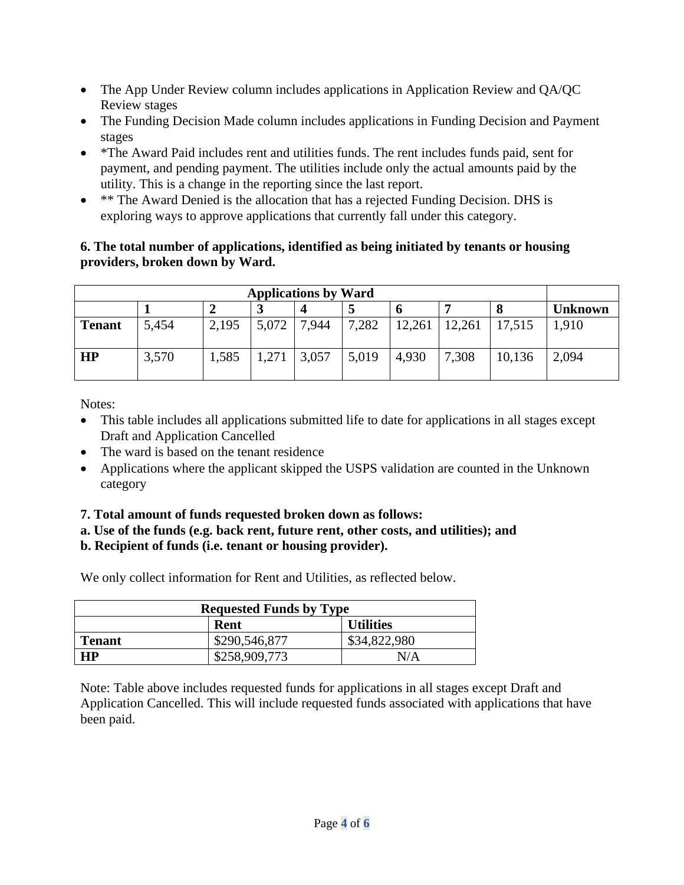- The App Under Review column includes applications in Application Review and QA/QC Review stages
- The Funding Decision Made column includes applications in Funding Decision and Payment stages
- \*The Award Paid includes rent and utilities funds. The rent includes funds paid, sent for payment, and pending payment. The utilities include only the actual amounts paid by the utility. This is a change in the reporting since the last report.
- \*\* The Award Denied is the allocation that has a rejected Funding Decision. DHS is exploring ways to approve applications that currently fall under this category.

### **6. The total number of applications, identified as being initiated by tenants or housing providers, broken down by Ward.**

| <b>Applications by Ward</b> |       |       |       |       |       |        |        |        |                |
|-----------------------------|-------|-------|-------|-------|-------|--------|--------|--------|----------------|
|                             |       |       | لہ    |       |       |        |        |        | <b>Unknown</b> |
| <b>Tenant</b>               | 5,454 | 2,195 | 5,072 | 7,944 | 7,282 | 12,261 | 12,261 | 17,515 | 1,910          |
| <b>HP</b>                   | 3,570 | 1,585 | 1,271 | 3,057 | 5,019 | 4,930  | 7,308  | 10,136 | 2,094          |

Notes:

- This table includes all applications submitted life to date for applications in all stages except Draft and Application Cancelled
- The ward is based on the tenant residence
- Applications where the applicant skipped the USPS validation are counted in the Unknown category
- **7. Total amount of funds requested broken down as follows:**
- **a. Use of the funds (e.g. back rent, future rent, other costs, and utilities); and**

# **b. Recipient of funds (i.e. tenant or housing provider).**

We only collect information for Rent and Utilities, as reflected below.

| <b>Requested Funds by Type</b> |               |                  |  |  |  |
|--------------------------------|---------------|------------------|--|--|--|
|                                | Rent          | <b>Utilities</b> |  |  |  |
| <b>Tenant</b>                  | \$290,546,877 | \$34,822,980     |  |  |  |
| <b>HP</b>                      | \$258,909,773 | N/A              |  |  |  |

Note: Table above includes requested funds for applications in all stages except Draft and Application Cancelled. This will include requested funds associated with applications that have been paid.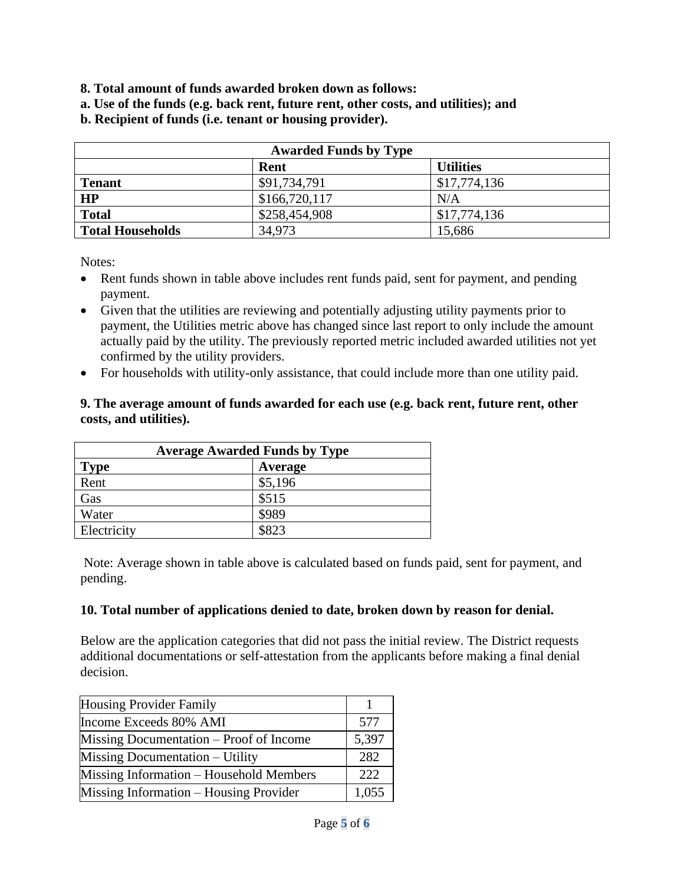- **8. Total amount of funds awarded broken down as follows:**
- **a. Use of the funds (e.g. back rent, future rent, other costs, and utilities); and**
- **b. Recipient of funds (i.e. tenant or housing provider).**

| <b>Awarded Funds by Type</b> |               |                  |  |  |
|------------------------------|---------------|------------------|--|--|
|                              | Rent          | <b>Utilities</b> |  |  |
| <b>Tenant</b>                | \$91,734,791  | \$17,774,136     |  |  |
| HP                           | \$166,720,117 | N/A              |  |  |
| <b>Total</b>                 | \$258,454,908 | \$17,774,136     |  |  |
| <b>Total Households</b>      | 34,973        | 15,686           |  |  |

Notes:

- Rent funds shown in table above includes rent funds paid, sent for payment, and pending payment.
- Given that the utilities are reviewing and potentially adjusting utility payments prior to payment, the Utilities metric above has changed since last report to only include the amount actually paid by the utility. The previously reported metric included awarded utilities not yet confirmed by the utility providers.
- For households with utility-only assistance, that could include more than one utility paid.

#### **9. The average amount of funds awarded for each use (e.g. back rent, future rent, other costs, and utilities).**

| <b>Average Awarded Funds by Type</b> |         |  |  |  |
|--------------------------------------|---------|--|--|--|
| <b>Type</b>                          | Average |  |  |  |
| Rent                                 | \$5,196 |  |  |  |
| Gas                                  | \$515   |  |  |  |
| Water                                | \$989   |  |  |  |
| Electricity                          | \$823   |  |  |  |

Note: Average shown in table above is calculated based on funds paid, sent for payment, and pending.

#### **10. Total number of applications denied to date, broken down by reason for denial.**

Below are the application categories that did not pass the initial review. The District requests additional documentations or self-attestation from the applicants before making a final denial decision.

| <b>Housing Provider Family</b>          |       |
|-----------------------------------------|-------|
| Income Exceeds 80% AMI                  | 577   |
| Missing Documentation – Proof of Income | 5,397 |
| Missing Documentation – Utility         | 282   |
| Missing Information – Household Members | 222   |
| Missing Information – Housing Provider  | 1,055 |